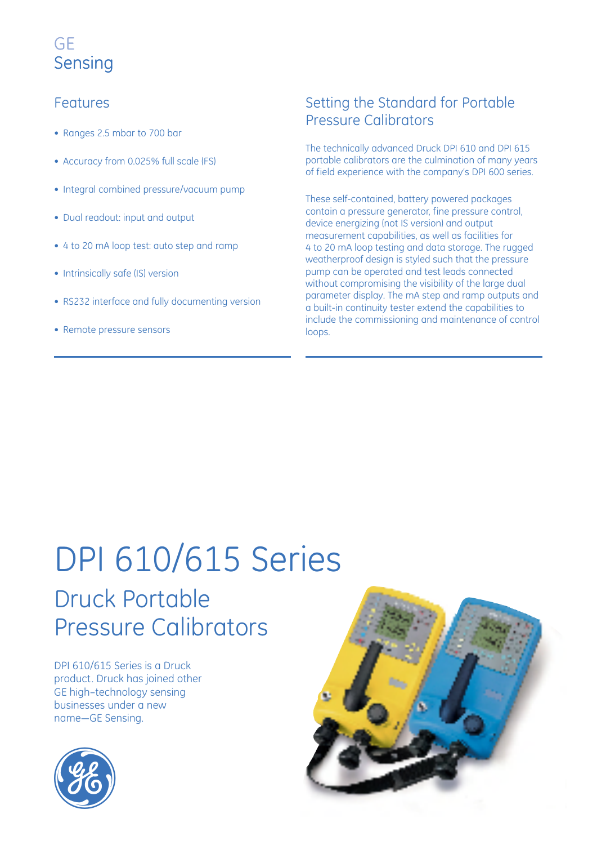# Features

- Ranges 2.5 mbar to 700 bar
- Accuracy from 0.025% full scale (FS)
- Integral combined pressure/vacuum pump
- Dual readout: input and output
- 4 to 20 mA loop test: auto step and ramp
- Intrinsically safe (IS) version
- RS232 interface and fully documenting version
- Remote pressure sensors

# Setting the Standard for Portable Pressure Calibrators

The technically advanced Druck DPI 610 and DPI 615 portable calibrators are the culmination of many years of field experience with the company's DPI 600 series.

These self-contained, battery powered packages contain a pressure generator, fine pressure control, device energizing (not IS version) and output measurement capabilities, as well as facilities for 4 to 20 mA loop testing and data storage. The rugged weatherproof design is styled such that the pressure pump can be operated and test leads connected without compromising the visibility of the large dual parameter display. The mA step and ramp outputs and a built-in continuity tester extend the capabilities to include the commissioning and maintenance of control loops.

# Druck Portable Pressure Calibrators DPI 610/615 Series

DPI 610/615 Series is a Druck product. Druck has joined other GE high–technology sensing businesses under a new name—GE Sensing.

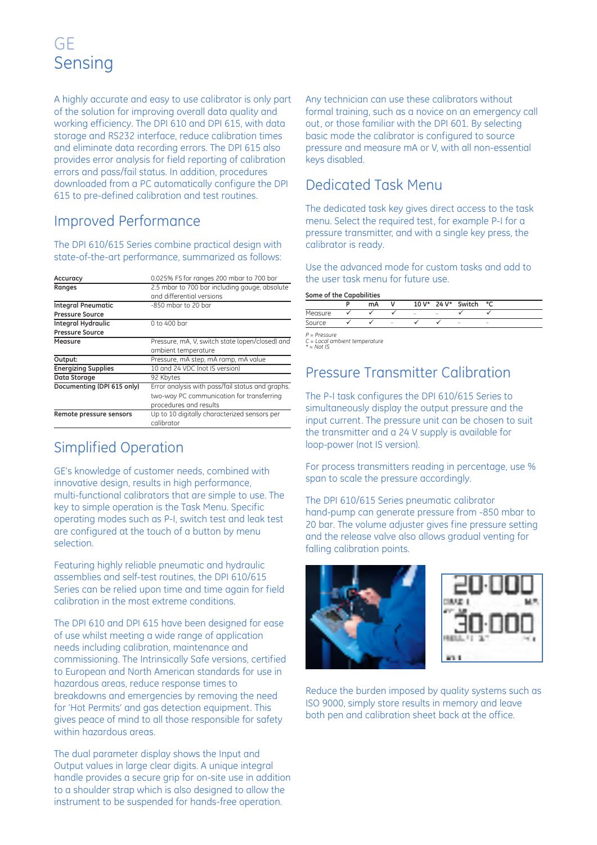A highly accurate and easy to use calibrator is only part of the solution for improving overall data quality and working efficiency. The DPI 610 and DPI 615, with data storage and RS232 interface, reduce calibration times and eliminate data recording errors. The DPI 615 also provides error analysis for field reporting of calibration errors and pass/fail status. In addition, procedures downloaded from a PC automatically configure the DPI 615 to pre-defined calibration and test routines.

# Improved Performance

The DPI 610/615 Series combine practical design with state-of-the-art performance, summarized as follows:

| Accuracy                   | 0.025% FS for ranges 200 mbar to 700 bar         |  |  |  |  |
|----------------------------|--------------------------------------------------|--|--|--|--|
| Ranges                     | 2.5 mbar to 700 bar including gauge, absolute    |  |  |  |  |
|                            | and differential versions                        |  |  |  |  |
| <b>Integral Pneumatic</b>  | $-850$ mbar to 20 bar                            |  |  |  |  |
| <b>Pressure Source</b>     |                                                  |  |  |  |  |
| <b>Integral Hydraulic</b>  | $0$ to 400 bar                                   |  |  |  |  |
| <b>Pressure Source</b>     |                                                  |  |  |  |  |
| Measure                    | Pressure, mA, V, switch state (open/closed) and  |  |  |  |  |
|                            | ambient temperature                              |  |  |  |  |
| Output:                    | Pressure, mA step, mA ramp, mA value             |  |  |  |  |
| <b>Energizing Supplies</b> | 10 and 24 VDC (not IS version)                   |  |  |  |  |
| Data Storage               | 92 Kbytes                                        |  |  |  |  |
| Documenting (DPI 615 only) | Error analysis with pass/fail status and graphs. |  |  |  |  |
|                            | two-way PC communication for transferring        |  |  |  |  |
|                            | procedures and results                           |  |  |  |  |
| Remote pressure sensors    | Up to 10 digitally characterized sensors per     |  |  |  |  |
|                            | calibrator                                       |  |  |  |  |

# Simplified Operation

GE's knowledge of customer needs, combined with innovative design, results in high performance, multi-functional calibrators that are simple to use. The key to simple operation is the Task Menu. Specific operating modes such as P-I, switch test and leak test are configured at the touch of a button by menu selection.

Featuring highly reliable pneumatic and hydraulic assemblies and self-test routines, the DPI 610/615 Series can be relied upon time and time again for field calibration in the most extreme conditions.

The DPI 610 and DPI 615 have been designed for ease of use whilst meeting a wide range of application needs including calibration, maintenance and commissioning. The Intrinsically Safe versions, certified to European and North American standards for use in hazardous areas, reduce response times to breakdowns and emergencies by removing the need for 'Hot Permits' and gas detection equipment. This gives peace of mind to all those responsible for safety within hazardous areas.

The dual parameter display shows the Input and Output values in large clear digits. A unique integral handle provides a secure grip for on-site use in addition to a shoulder strap which is also designed to allow the instrument to be suspended for hands-free operation.

Any technician can use these calibrators without formal training, such as a novice on an emergency call out, or those familiar with the DPI 601. By selecting basic mode the calibrator is configured to source pressure and measure mA or V, with all non-essential keys disabled.

# Dedicated Task Menu

The dedicated task key gives direct access to the task menu. Select the required test, for example P-I for a pressure transmitter, and with a single key press, the calibrator is ready.

Use the advanced mode for custom tasks and add to the user task menu for future use.

**Some of the Capabilities**

|         | mA |   | $10V^*$ | 24 V*  | Switch | ۰c |
|---------|----|---|---------|--------|--------|----|
| Measure |    |   | -       | $\sim$ |        |    |
| Source  |    | - |         |        | -      | -  |

*P = Pressure C = Local ambient temperature \* = Not IS*

# Pressure Transmitter Calibration

The P-I task configures the DPI 610/615 Series to simultaneously display the output pressure and the input current. The pressure unit can be chosen to suit the transmitter and a 24 V supply is available for loop-power (not IS version).

For process transmitters reading in percentage, use % span to scale the pressure accordingly.

The DPI 610/615 Series pneumatic calibrator hand-pump can generate pressure from -850 mbar to 20 bar. The volume adjuster gives fine pressure setting and the release valve also allows gradual venting for falling calibration points.



Reduce the burden imposed by quality systems such as ISO 9000, simply store results in memory and leave both pen and calibration sheet back at the office.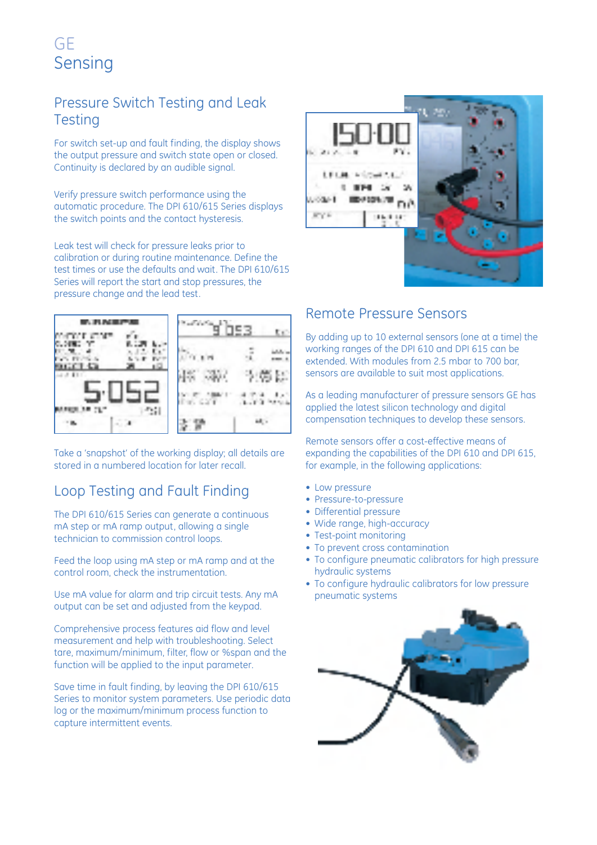# Pressure Switch Testing and Leak **Testing**

For switch set-up and fault finding, the display shows the output pressure and switch state open or closed. Continuity is declared by an audible signal.

Verify pressure switch performance using the automatic procedure. The DPI 610/615 Series displays the switch points and the contact hysteresis.

Leak test will check for pressure leaks prior to calibration or during routine maintenance. Define the test times or use the defaults and wait. The DPI 610/615 Series will report the start and stop pressures, the pressure change and the lead test.



Take a 'snapshot' of the working display; all details are stored in a numbered location for later recall.

# Loop Testing and Fault Finding

The DPI 610/615 Series can generate a continuous mA step or mA ramp output, allowing a single technician to commission control loops.

Feed the loop using mA step or mA ramp and at the control room, check the instrumentation.

Use mA value for alarm and trip circuit tests. Any mA output can be set and adjusted from the keypad.

Comprehensive process features aid flow and level measurement and help with troubleshooting. Select tare, maximum/minimum, filter, flow or %span and the function will be applied to the input parameter.

Save time in fault finding, by leaving the DPI 610/615 Series to monitor system parameters. Use periodic data log or the maximum/minimum process function to capture intermittent events.



# Remote Pressure Sensors

By adding up to 10 external sensors (one at a time) the working ranges of the DPI 610 and DPI 615 can be extended. With modules from 2.5 mbar to 700 bar, sensors are available to suit most applications.

As a leading manufacturer of pressure sensors GE has applied the latest silicon technology and digital compensation techniques to develop these sensors.

Remote sensors offer a cost-effective means of expanding the capabilities of the DPI 610 and DPI 615, for example, in the following applications:

- Low pressure
- Pressure-to-pressure
- Differential pressure
- Wide range, high-accuracy
- Test-point monitoring
- To prevent cross contamination
- To configure pneumatic calibrators for high pressure hydraulic systems
- To configure hydraulic calibrators for low pressure pneumatic systems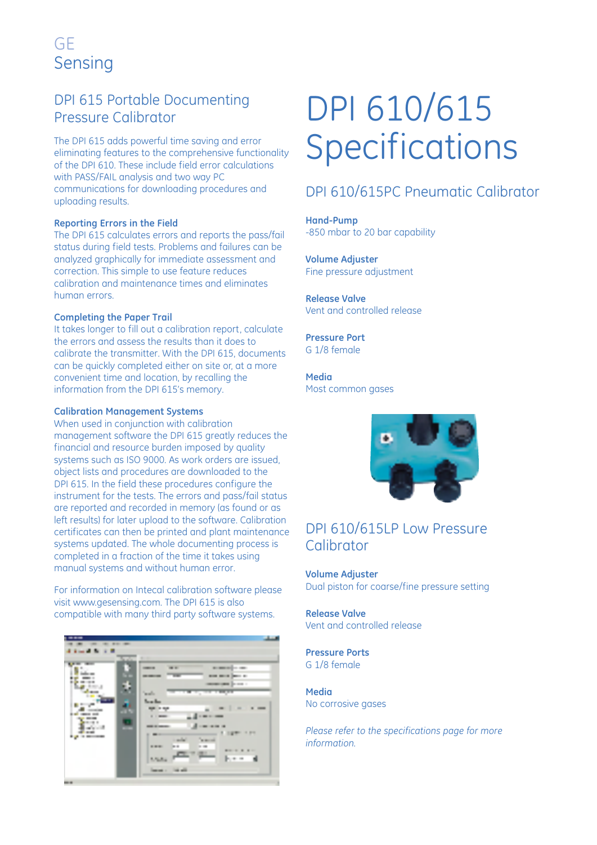# DPI 615 Portable Documenting Pressure Calibrator

The DPI 615 adds powerful time saving and error eliminating features to the comprehensive functionality of the DPI 610. These include field error calculations with PASS/FAIL analysis and two way PC communications for downloading procedures and uploading results.

#### **Reporting Errors in the Field**

The DPI 615 calculates errors and reports the pass/fail status during field tests. Problems and failures can be analyzed graphically for immediate assessment and correction. This simple to use feature reduces calibration and maintenance times and eliminates human errors.

#### **Completing the Paper Trail**

It takes longer to fill out a calibration report, calculate the errors and assess the results than it does to calibrate the transmitter. With the DPI 615, documents can be quickly completed either on site or, at a more convenient time and location, by recalling the information from the DPI 615's memory.

#### **Calibration Management Systems**

When used in conjunction with calibration management software the DPI 615 greatly reduces the financial and resource burden imposed by quality systems such as ISO 9000. As work orders are issued, object lists and procedures are downloaded to the DPI 615. In the field these procedures configure the instrument for the tests. The errors and pass/fail status are reported and recorded in memory (as found or as left results) for later upload to the software. Calibration certificates can then be printed and plant maintenance systems updated. The whole documenting process is completed in a fraction of the time it takes using manual systems and without human error.

For information on Intecal calibration software please visit www.gesensing.com. The DPI 615 is also compatible with many third party software systems.

# DPI 610/615 **Specifications**

### DPI 610/615PC Pneumatic Calibrator

**Hand-Pump** -850 mbar to 20 bar capability

**Volume Adjuster** Fine pressure adjustment

**Release Valve** Vent and controlled release

**Pressure Port** G 1/8 female

**Media** Most common gases

### DPI 610/615LP Low Pressure **Calibrator**

**Volume Adjuster** Dual piston for coarse/fine pressure setting

**Release Valve** Vent and controlled release

**Pressure Ports** G 1/8 female

**Media** No corrosive gases

*Please refer to the specifications page for more information.*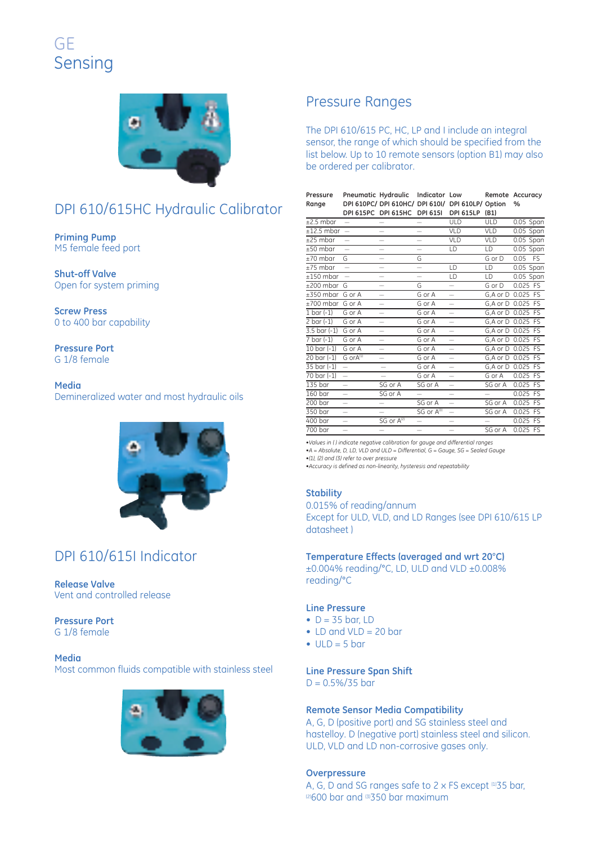# DPI 610/615HC Hydraulic Calibrator

**Priming Pump** M5 female feed port

**Shut-off Valve** Open for system priming

**Screw Press** 0 to 400 bar capability

**Pressure Port** G 1/8 female

**Media** Demineralized water and most hydraulic oils

# DPI 610/615I Indicator

**Release Valve** Vent and controlled release

**Pressure Port** G 1/8 female

**Media** Most common fluids compatible with stainless steel

### Pressure Ranges

The DPI 610/615 PC, HC, LP and I include an integral sensor, the range of which should be specified from the list below. Up to 10 remote sensors (option B1) may also be ordered per calibrator.

| Pressure | Pneumatic Hydraulic Indicator Low                   |  | Remote Accuracy |
|----------|-----------------------------------------------------|--|-----------------|
| Range    | DPI 610PC/ DPI 610HC/ DPI 610I/ DPI 610LP/ Option % |  |                 |
|          | DPL615PC DPL615HC DPL615L DPL615LP (B1)             |  |                 |

| $±2.5$ mbar                      | $\overline{\phantom{0}}$ | $\overline{\phantom{0}}$ |                          | <b>ULD</b>               | ULD                | $0.05$ Span |           |
|----------------------------------|--------------------------|--------------------------|--------------------------|--------------------------|--------------------|-------------|-----------|
| $±12.5$ mbar                     | $\overline{\phantom{m}}$ | $\overline{\phantom{0}}$ | $\overline{\phantom{0}}$ | VLD                      | <b>VLD</b>         | $0.05$ Span |           |
| $±25$ mbar                       | $\overline{\phantom{0}}$ | -                        |                          | VLD                      | VLD                | $0.05$ Span |           |
| $±50$ mbar                       | $\overline{\phantom{0}}$ | -                        | -                        | LD                       | LD                 | $0.05$ Span |           |
| $±70$ mbar                       | G                        | ÷,                       | G                        |                          | G or D             | 0.05        | <b>FS</b> |
| $±75$ mbar                       |                          | -                        | $\overline{\phantom{0}}$ | LD                       | LD                 | $0.05$ Span |           |
| $±150$ mbar                      | $\overline{\phantom{0}}$ | ÷,                       |                          | LD                       | LD                 | $0.05$ Span |           |
| $±200$ mbar                      | G                        | —                        | G                        | $\overline{\phantom{0}}$ | G or D             | 0.025 FS    |           |
| $\pm 350$ mbar                   | G or A                   | -                        | $\overline{G}$ or A      | ÷,                       | G,A or D           | $0.025$ FS  |           |
| $\pm 700$ mbar                   | G or A                   | -                        | G or A                   | $\equiv$                 | G, A or D 0.025 FS |             |           |
| $1 \text{ bar} (-1)$             | G or A                   |                          | G or A                   | $\equiv$                 | G, A or D 0.025 FS |             |           |
| $2 \text{ bar} (-1)$             | G or A                   | -                        | G or A                   | -                        | G, A or D 0.025 FS |             |           |
| $3.5 \text{ bar} (-1)$           | G or A                   |                          | G or A                   | $\equiv$                 | G, A or D 0.025 FS |             |           |
| $\overline{7 \text{ bar } (-1)}$ | G or A                   | $\overline{\phantom{0}}$ | G or A                   | $\overline{\phantom{0}}$ | G, A or D 0.025 FS |             |           |
| $10 \text{ bar } (-1)$           | G or A                   | $\overline{\phantom{0}}$ | G or A                   | $\overline{\phantom{0}}$ | G, A or D 0.025 FS |             |           |
| $20 \text{ bar} (-1)$            | G orA <sup>(1)</sup>     |                          | G or A                   | $\overline{\phantom{0}}$ | G, A or D 0.025 FS |             |           |
| 35 bar (-1)                      | $\overline{\phantom{0}}$ |                          | G or A                   | $\overline{\phantom{0}}$ | G, A or D 0.025 FS |             |           |
| $70 \text{ bar} (-1)$            | $\overline{\phantom{0}}$ |                          | G or A                   | $\overline{\phantom{0}}$ | GorA               | $0.025$ FS  |           |
| 135 <sub>bar</sub>               | $\overline{\phantom{0}}$ | SG or A                  | SG or A                  | $\overline{\phantom{0}}$ | SG or A            | $0.025$ FS  |           |
| 160 <sub>bar</sub>               | $\overline{\phantom{0}}$ | SG or A                  | -                        | -                        |                    | 0.025 FS    |           |
| 200 <sub>bar</sub>               | $\overline{\phantom{0}}$ | -                        | SG or A                  | $\overline{\phantom{0}}$ | SG or A            | 0.025 FS    |           |
| 350 bar                          | $\overline{\phantom{0}}$ | -                        | SG or A <sup>(3)</sup>   | $\overline{\phantom{0}}$ | SG or A            | 0.025 FS    |           |
| $400$ bar                        | -                        | SG or A <sup>(2)</sup>   | $\equiv$                 | -                        |                    | 0.025 FS    |           |
| $700$ bar                        | $\overline{\phantom{0}}$ | -                        | $\overline{\phantom{0}}$ | -                        | SG or A            | 0.025 FS    |           |
|                                  |                          |                          |                          |                          |                    |             |           |

*•Values in ( ) indicate negative calibration for gauge and differential ranges •A = Absolute, D, LD, VLD and ULD = Differential, G = Gauge, SG = Sealed Gauge*

*•(1), (2) and (3) refer to over pressure*

*•Accuracy is defined as non-linearity, hysteresis and repeatability*

#### **Stability**

0.015% of reading/annum Except for ULD, VLD, and LD Ranges (see DPI 610/615 LP datasheet )

#### **Temperature Effects (averaged and wrt 20**°**C)**

±0.004% reading/°C, LD, ULD and VLD ±0.008% reading/°C

#### **Line Pressure**

- $\bullet$  D = 35 bar, LD
- $\bullet$  LD and VLD = 20 bar
- $\bullet$  ULD = 5 bar

#### **Line Pressure Span Shift**

 $D = 0.5\%/35$  bar

#### **Remote Sensor Media Compatibility**

A, G, D (positive port) and SG stainless steel and hastelloy. D (negative port) stainless steel and silicon. ULD, VLD and LD non-corrosive gases only.

#### **Overpressure**

A, G, D and SG ranges safe to 2 x FS except  $1135$  bar,  $12600$  bar and  $1350$  bar maximum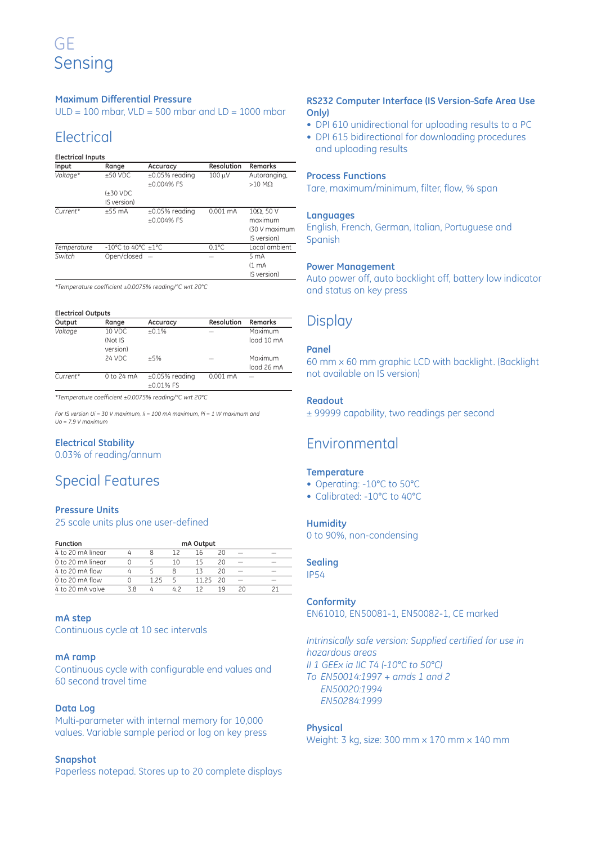#### **Maximum Differential Pressure**

 $ULD = 100$  mbar,  $VLD = 500$  mbar and  $LD = 1000$  mbar

### Electrical

#### **Electrical Inputs**

| Input       | Range                   | Accuracy             | Resolution      | Remarks            |
|-------------|-------------------------|----------------------|-----------------|--------------------|
| Voltage*    | $±50$ VDC               | $\pm 0.05\%$ reading | 100 µV          | Autoranging,       |
|             |                         | $+0.004\%$ FS        |                 | $>10$ M $\Omega$   |
|             | $±30$ VDC               |                      |                 |                    |
|             | IS version)             |                      |                 |                    |
| Current*    | $+55$ mA                | $\pm 0.05\%$ reading | $0.001$ mA      | $10\Omega$ , 50 V  |
|             |                         | $+0.004\%$ FS        |                 | maximum            |
|             |                         |                      |                 | (30 V maximum      |
|             |                         |                      |                 | IS version)        |
| Temperature | -10°C to 40°C $\pm$ 1°C |                      | $0.1^{\circ}$ C | Local ambient      |
| Switch      | Open/closed $-$         |                      |                 | 5 <sub>mA</sub>    |
|             |                         |                      |                 | (1 <sub>mA</sub> ) |
|             |                         |                      |                 | IS version)        |

*\*Temperature coefficient ±0.0075% reading/°C wrt 20°C*

#### **Electrical Outputs**

| Output     | Range               | Accuracy                             | Resolution         | Remarks               |
|------------|---------------------|--------------------------------------|--------------------|-----------------------|
| Voltage    | 10 VDC              | $+0.1%$                              |                    | Maximum               |
|            | (Not IS<br>version) |                                      |                    | load 10 mA            |
|            | 24 VDC              | $+5%$                                |                    | Maximum<br>logd 26 mA |
| $Current*$ | 0 to 24 mA          | $\pm 0.05\%$ reading<br>$+0.01\%$ FS | $0.001 \text{ mA}$ |                       |

*\*Temperature coefficient ±0.0075% reading/°C wrt 20°C*

*For IS version Ui = 30 V maximum, Ii = 100 mA maximum, Pi = 1 W maximum and Uo = 7.9 V maximum*

#### **Electrical Stability**

0.03% of reading/annum

# Special Features

#### **Pressure Units**

25 scale units plus one user-defined

| <b>Function</b>   |    |      |    | mA Output |      |    |  |
|-------------------|----|------|----|-----------|------|----|--|
| 4 to 20 mA linear |    |      |    | 16        |      |    |  |
| 0 to 20 mA linear |    |      | 10 | 15        |      |    |  |
| 4 to 20 mA flow   |    |      |    |           | 20   |    |  |
| $0$ to 20 mA flow |    | 1 25 |    | 11 25     | - 20 |    |  |
| 4 to 20 mA valve  | 38 |      |    |           | 19   | 20 |  |

#### **mA step**

Continuous cycle at 10 sec intervals

#### **mA ramp**

Continuous cycle with configurable end values and 60 second travel time

#### **Data Log**

Multi-parameter with internal memory for 10,000 values. Variable sample period or log on key press

#### **Snapshot**

Paperless notepad. Stores up to 20 complete displays

#### **RS232 Computer Interface (IS Version\_ Safe Area Use Only)**

- DPI 610 unidirectional for uploading results to a PC
- DPI 615 bidirectional for downloading procedures and uploading results

#### **Process Functions**

Tare, maximum/minimum, filter, flow, % span

#### **Languages**

English, French, German, Italian, Portuguese and Spanish

#### **Power Management**

Auto power off, auto backlight off, battery low indicator and status on key press

### **Display**

#### **Panel**

60 mm x 60 mm graphic LCD with backlight. (Backlight not available on IS version)

#### **Readout**

± 99999 capability, two readings per second

### Environmental

#### **Temperature**

- Operating: -10°C to 50°C
- Calibrated: -10°C to 40°C

#### **Humidity**

0 to 90%, non-condensing

#### **Sealing**

IP54

#### **Conformity**

EN61010, EN50081-1, EN50082-1, CE marked

*Intrinsically safe version: Supplied certified for use in hazardous areas II 1 GEEx ia IIC T4 (-10°C to 50°C) To EN50014:1997 + amds 1 and 2 EN50020:1994 EN50284:1999*

#### **Physical**

Weight: 3 kg, size: 300 mm x 170 mm x 140 mm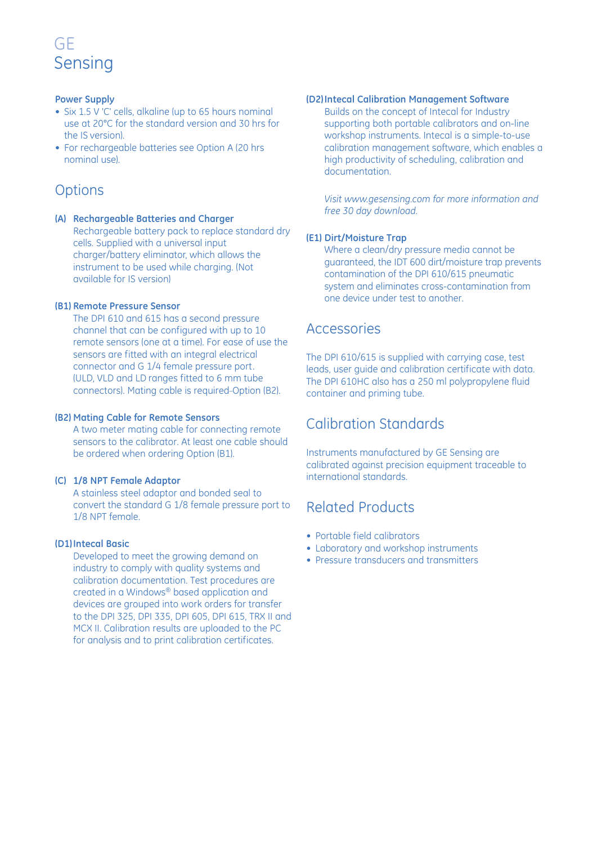#### **Power Supply**

- Six 1.5 V 'C' cells, alkaline (up to 65 hours nominal use at 20°C for the standard version and 30 hrs for the IS version).
- For rechargeable batteries see Option A (20 hrs nominal use).

### **Options**

**(A) Rechargeable Batteries and Charger** Rechargeable battery pack to replace standard dry cells. Supplied with a universal input charger/battery eliminator, which allows the instrument to be used while charging. (Not available for IS version)

#### **(B1) Remote Pressure Sensor**

The DPI 610 and 615 has a second pressure channel that can be configured with up to 10 remote sensors (one at a time). For ease of use the sensors are fitted with an integral electrical connector and G 1/4 female pressure port. (ULD, VLD and LD ranges fitted to 6 mm tube connectors). Mating cable is required\_ Option (B2).

#### **(B2) Mating Cable for Remote Sensors**

A two meter mating cable for connecting remote sensors to the calibrator. At least one cable should be ordered when ordering Option (B1).

#### **(C) 1/8 NPT Female Adaptor**

A stainless steel adaptor and bonded seal to convert the standard G 1/8 female pressure port to 1/8 NPT female.

#### **(D1)Intecal Basic**

Developed to meet the growing demand on industry to comply with quality systems and calibration documentation. Test procedures are created in a Windows® based application and devices are grouped into work orders for transfer to the DPI 325, DPI 335, DPI 605, DPI 615, TRX II and MCX II. Calibration results are uploaded to the PC for analysis and to print calibration certificates.

#### **(D2)Intecal Calibration Management Software**

Builds on the concept of Intecal for Industry supporting both portable calibrators and on-line workshop instruments. Intecal is a simple-to-use calibration management software, which enables a high productivity of scheduling, calibration and documentation.

*Visit www.gesensing.com for more information and free 30 day download.*

#### **(E1) Dirt/Moisture Trap**

Where a clean/dry pressure media cannot be guaranteed, the IDT 600 dirt/moisture trap prevents contamination of the DPI 610/615 pneumatic system and eliminates cross-contamination from one device under test to another.

### Accessories

The DPI 610/615 is supplied with carrying case, test leads, user guide and calibration certificate with data. The DPI 610HC also has a 250 ml polypropylene fluid container and priming tube.

### Calibration Standards

Instruments manufactured by GE Sensing are calibrated against precision equipment traceable to international standards.

# Related Products

- Portable field calibrators
- Laboratory and workshop instruments
- Pressure transducers and transmitters